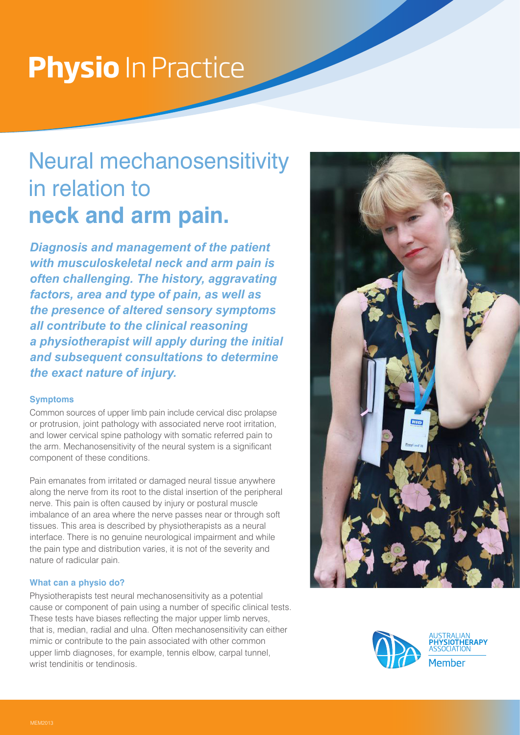# **Physio** In Practice

## Neural mechanosensitivity in relation to **neck and arm pain.**

*Diagnosis and management of the patient with musculoskeletal neck and arm pain is often challenging. The history, aggravating factors, area and type of pain, as well as the presence of altered sensory symptoms all contribute to the clinical reasoning a physiotherapist will apply during the initial and subsequent consultations to determine the exact nature of injury.* 

#### **Symptoms**

Common sources of upper limb pain include cervical disc prolapse or protrusion, joint pathology with associated nerve root irritation, and lower cervical spine pathology with somatic referred pain to the arm. Mechanosensitivity of the neural system is a significant component of these conditions.

Pain emanates from irritated or damaged neural tissue anywhere along the nerve from its root to the distal insertion of the peripheral nerve. This pain is often caused by injury or postural muscle imbalance of an area where the nerve passes near or through soft tissues. This area is described by physiotherapists as a neural interface. There is no genuine neurological impairment and while the pain type and distribution varies, it is not of the severity and nature of radicular pain.

#### **What can a physio do?**

Physiotherapists test neural mechanosensitivity as a potential cause or component of pain using a number of specific clinical tests. These tests have biases reflecting the major upper limb nerves, that is, median, radial and ulna. Often mechanosensitivity can either mimic or contribute to the pain associated with other common upper limb diagnoses, for example, tennis elbow, carpal tunnel, wrist tendinitis or tendinosis.





SIOTHERAPY